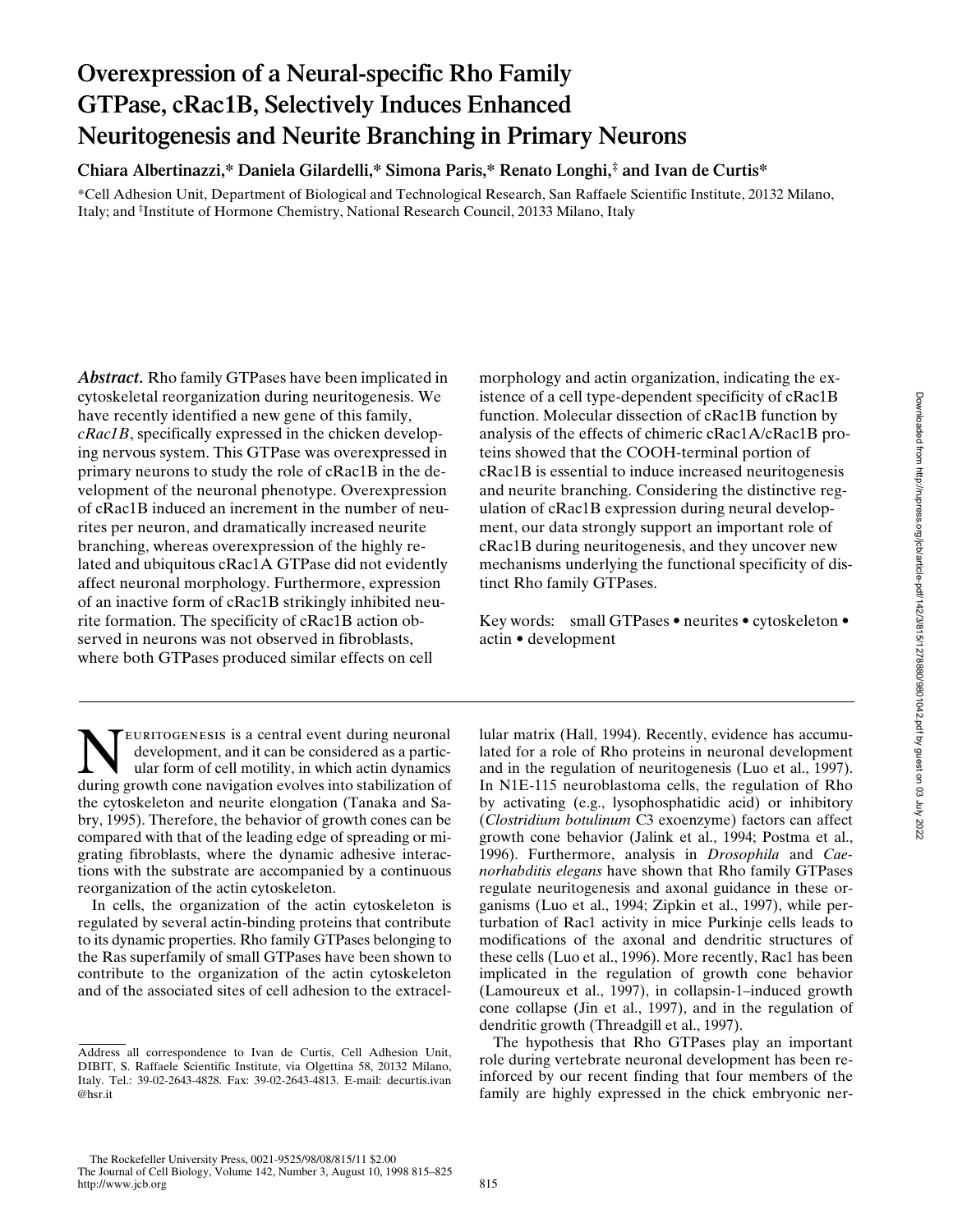# **Overexpression of a Neural-specific Rho Family GTPase, cRac1B, Selectively Induces Enhanced Neuritogenesis and Neurite Branching in Primary Neurons**

**Chiara Albertinazzi,\* Daniela Gilardelli,\* Simona Paris,\* Renato Longhi,‡ and Ivan de Curtis\***

\*Cell Adhesion Unit, Department of Biological and Technological Research, San Raffaele Scientific Institute, 20132 Milano, Italy; and ‡ Institute of Hormone Chemistry, National Research Council, 20133 Milano, Italy

*Abstract.* Rho family GTPases have been implicated in cytoskeletal reorganization during neuritogenesis. We have recently identified a new gene of this family, *cRac1B*, specifically expressed in the chicken developing nervous system. This GTPase was overexpressed in primary neurons to study the role of cRac1B in the development of the neuronal phenotype. Overexpression of cRac1B induced an increment in the number of neurites per neuron, and dramatically increased neurite branching, whereas overexpression of the highly related and ubiquitous cRac1A GTPase did not evidently affect neuronal morphology. Furthermore, expression of an inactive form of cRac1B strikingly inhibited neurite formation. The specificity of cRac1B action observed in neurons was not observed in fibroblasts, where both GTPases produced similar effects on cell

**NEURITOGENESIS is a central event during neuronal**<br>development, and it can be considered as a particular form of cell motility, in which actin dynamics<br>during growth cone navigation evolves into stabilization of development, and it can be considered as a particduring growth cone navigation evolves into stabilization of the cytoskeleton and neurite elongation (Tanaka and Sabry, 1995). Therefore, the behavior of growth cones can be compared with that of the leading edge of spreading or migrating fibroblasts, where the dynamic adhesive interactions with the substrate are accompanied by a continuous reorganization of the actin cytoskeleton.

In cells, the organization of the actin cytoskeleton is regulated by several actin-binding proteins that contribute to its dynamic properties. Rho family GTPases belonging to the Ras superfamily of small GTPases have been shown to contribute to the organization of the actin cytoskeleton and of the associated sites of cell adhesion to the extracelmorphology and actin organization, indicating the existence of a cell type-dependent specificity of cRac1B function. Molecular dissection of cRac1B function by analysis of the effects of chimeric cRac1A/cRac1B proteins showed that the COOH-terminal portion of cRac1B is essential to induce increased neuritogenesis and neurite branching. Considering the distinctive regulation of cRac1B expression during neural development, our data strongly support an important role of cRac1B during neuritogenesis, and they uncover new mechanisms underlying the functional specificity of distinct Rho family GTPases.

Key words: small GTPases • neurites • cytoskeleton • actin • development

lular matrix (Hall, 1994). Recently, evidence has accumulated for a role of Rho proteins in neuronal development and in the regulation of neuritogenesis (Luo et al., 1997). In N1E-115 neuroblastoma cells, the regulation of Rho by activating (e.g., lysophosphatidic acid) or inhibitory (*Clostridium botulinum* C3 exoenzyme) factors can affect growth cone behavior (Jalink et al., 1994; Postma et al., 1996). Furthermore, analysis in *Drosophila* and *Caenorhabditis elegans* have shown that Rho family GTPases regulate neuritogenesis and axonal guidance in these organisms (Luo et al., 1994; Zipkin et al., 1997), while perturbation of Rac1 activity in mice Purkinje cells leads to modifications of the axonal and dendritic structures of these cells (Luo et al., 1996). More recently, Rac1 has been implicated in the regulation of growth cone behavior (Lamoureux et al., 1997), in collapsin-1–induced growth cone collapse (Jin et al., 1997), and in the regulation of dendritic growth (Threadgill et al., 1997).

The hypothesis that Rho GTPases play an important role during vertebrate neuronal development has been reinforced by our recent finding that four members of the family are highly expressed in the chick embryonic ner-

Address all correspondence to Ivan de Curtis, Cell Adhesion Unit, DIBIT, S. Raffaele Scientific Institute, via Olgettina 58, 20132 Milano, Italy. Tel.: 39-02-2643-4828. Fax: 39-02-2643-4813. E-mail: decurtis.ivan @hsr.it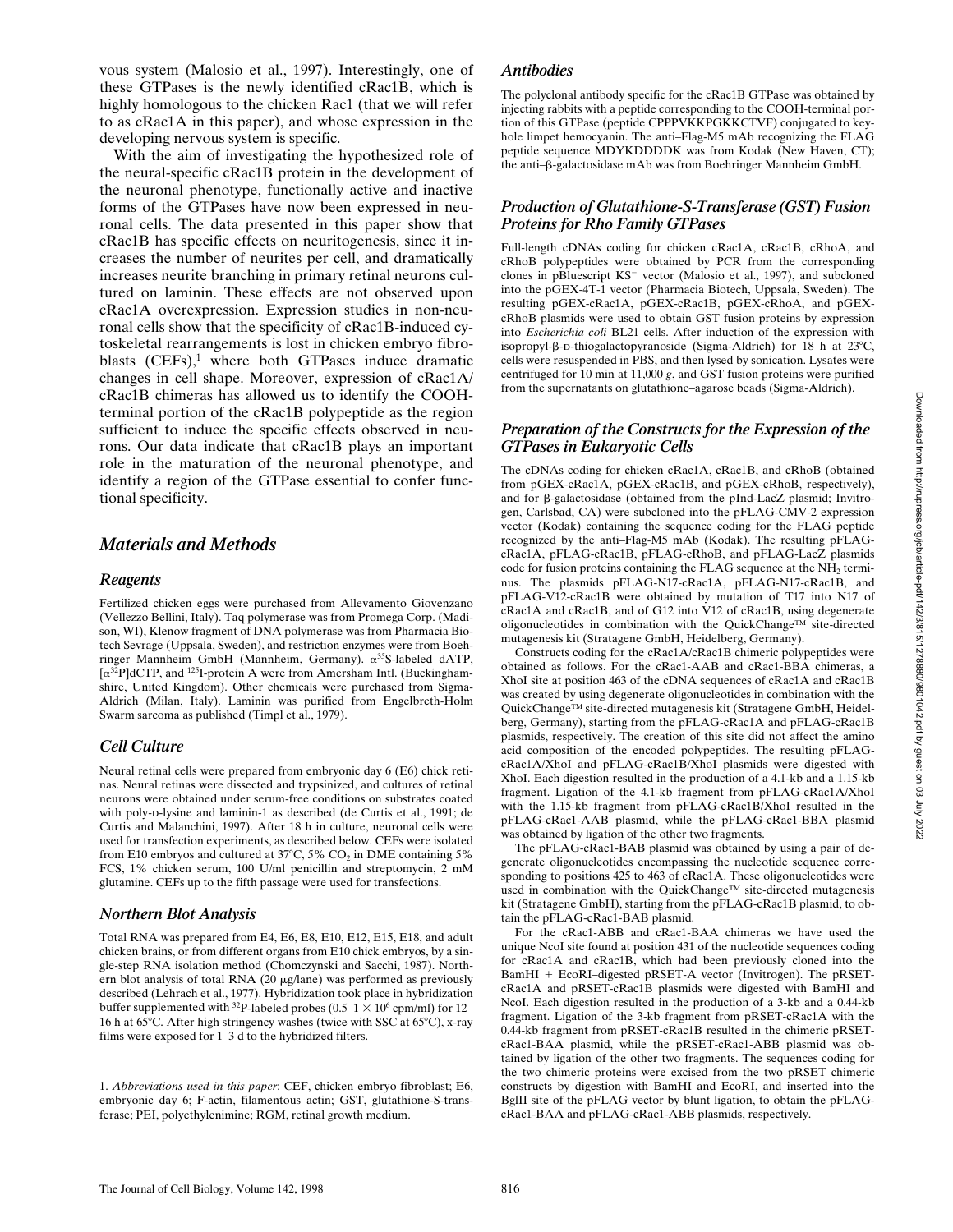vous system (Malosio et al., 1997). Interestingly, one of these GTPases is the newly identified cRac1B, which is highly homologous to the chicken Rac1 (that we will refer to as cRac1A in this paper), and whose expression in the developing nervous system is specific.

With the aim of investigating the hypothesized role of the neural-specific cRac1B protein in the development of the neuronal phenotype, functionally active and inactive forms of the GTPases have now been expressed in neuronal cells. The data presented in this paper show that cRac1B has specific effects on neuritogenesis, since it increases the number of neurites per cell, and dramatically increases neurite branching in primary retinal neurons cultured on laminin. These effects are not observed upon cRac1A overexpression. Expression studies in non-neuronal cells show that the specificity of cRac1B-induced cytoskeletal rearrangements is lost in chicken embryo fibroblasts  $(CEFs)$ ,<sup>1</sup> where both GTPases induce dramatic changes in cell shape. Moreover, expression of cRac1A/ cRac1B chimeras has allowed us to identify the COOHterminal portion of the cRac1B polypeptide as the region sufficient to induce the specific effects observed in neurons. Our data indicate that cRac1B plays an important role in the maturation of the neuronal phenotype, and identify a region of the GTPase essential to confer functional specificity.

## *Materials and Methods*

## *Reagents*

Fertilized chicken eggs were purchased from Allevamento Giovenzano (Vellezzo Bellini, Italy). Taq polymerase was from Promega Corp. (Madison, WI), Klenow fragment of DNA polymerase was from Pharmacia Biotech Sevrage (Uppsala, Sweden), and restriction enzymes were from Boehringer Mannheim GmbH (Mannheim, Germany).  $\alpha^{35}$ S-labeled dATP,  $\alpha^{32}P$ ]dCTP, and <sup>125</sup>I-protein A were from Amersham Intl. (Buckinghamshire, United Kingdom). Other chemicals were purchased from Sigma-Aldrich (Milan, Italy). Laminin was purified from Engelbreth-Holm Swarm sarcoma as published (Timpl et al., 1979).

## *Cell Culture*

Neural retinal cells were prepared from embryonic day 6 (E6) chick retinas. Neural retinas were dissected and trypsinized, and cultures of retinal neurons were obtained under serum-free conditions on substrates coated with poly-p-lysine and laminin-1 as described (de Curtis et al., 1991; de Curtis and Malanchini, 1997). After 18 h in culture, neuronal cells were used for transfection experiments, as described below. CEFs were isolated from E10 embryos and cultured at  $37^{\circ}$ C, 5% CO<sub>2</sub> in DME containing 5% FCS, 1% chicken serum, 100 U/ml penicillin and streptomycin, 2 mM glutamine. CEFs up to the fifth passage were used for transfections.

## *Northern Blot Analysis*

Total RNA was prepared from E4, E6, E8, E10, E12, E15, E18, and adult chicken brains, or from different organs from E10 chick embryos, by a single-step RNA isolation method (Chomczynski and Sacchi, 1987). Northern blot analysis of total RNA  $(20 \mu g / \text{lane})$  was performed as previously described (Lehrach et al., 1977). Hybridization took place in hybridization buffer supplemented with <sup>32</sup>P-labeled probes (0.5–1  $\times$  10<sup>6</sup> cpm/ml) for 12– 16 h at 65 $^{\circ}$ C. After high stringency washes (twice with SSC at 65 $^{\circ}$ C), x-ray films were exposed for 1–3 d to the hybridized filters.

#### *Antibodies*

The polyclonal antibody specific for the cRac1B GTPase was obtained by injecting rabbits with a peptide corresponding to the COOH-terminal portion of this GTPase (peptide CPPPVKKPGKKCTVF) conjugated to keyhole limpet hemocyanin. The anti–Flag-M5 mAb recognizing the FLAG peptide sequence MDYKDDDDK was from Kodak (New Haven, CT); the anti-β-galactosidase mAb was from Boehringer Mannheim GmbH.

## *Production of Glutathione-S-Transferase (GST) Fusion Proteins for Rho Family GTPases*

Full-length cDNAs coding for chicken cRac1A, cRac1B, cRhoA, and cRhoB polypeptides were obtained by PCR from the corresponding clones in pBluescript KS<sup>-</sup> vector (Malosio et al., 1997), and subcloned into the pGEX-4T-1 vector (Pharmacia Biotech, Uppsala, Sweden). The resulting pGEX-cRac1A, pGEX-cRac1B, pGEX-cRhoA, and pGEXcRhoB plasmids were used to obtain GST fusion proteins by expression into *Escherichia coli* BL21 cells. After induction of the expression with isopropyl- $\beta$ -p-thiogalactopyranoside (Sigma-Aldrich) for 18 h at 23 $\degree$ C, cells were resuspended in PBS, and then lysed by sonication. Lysates were centrifuged for 10 min at 11,000 *g*, and GST fusion proteins were purified from the supernatants on glutathione–agarose beads (Sigma-Aldrich).

#### *Preparation of the Constructs for the Expression of the GTPases in Eukaryotic Cells*

The cDNAs coding for chicken cRac1A, cRac1B, and cRhoB (obtained from pGEX-cRac1A, pGEX-cRac1B, and pGEX-cRhoB, respectively), and for  $\beta$ -galactosidase (obtained from the pInd-LacZ plasmid; Invitrogen, Carlsbad, CA) were subcloned into the pFLAG-CMV-2 expression vector (Kodak) containing the sequence coding for the FLAG peptide recognized by the anti–Flag-M5 mAb (Kodak). The resulting pFLAGcRac1A, pFLAG-cRac1B, pFLAG-cRhoB, and pFLAG-LacZ plasmids code for fusion proteins containing the FLAG sequence at the  $NH<sub>2</sub>$  terminus. The plasmids pFLAG-N17-cRac1A, pFLAG-N17-cRac1B, and pFLAG-V12-cRac1B were obtained by mutation of T17 into N17 of cRac1A and cRac1B, and of G12 into V12 of cRac1B, using degenerate oligonucleotides in combination with the QuickChange™ site-directed mutagenesis kit (Stratagene GmbH, Heidelberg, Germany).

Constructs coding for the cRac1A/cRac1B chimeric polypeptides were obtained as follows. For the cRac1-AAB and cRac1-BBA chimeras, a XhoI site at position 463 of the cDNA sequences of cRac1A and cRac1B was created by using degenerate oligonucleotides in combination with the QuickChange™ site-directed mutagenesis kit (Stratagene GmbH, Heidelberg, Germany), starting from the pFLAG-cRac1A and pFLAG-cRac1B plasmids, respectively. The creation of this site did not affect the amino acid composition of the encoded polypeptides. The resulting pFLAGcRac1A/XhoI and pFLAG-cRac1B/XhoI plasmids were digested with XhoI. Each digestion resulted in the production of a 4.1-kb and a 1.15-kb fragment. Ligation of the 4.1-kb fragment from pFLAG-cRac1A/XhoI with the 1.15-kb fragment from pFLAG-cRac1B/XhoI resulted in the pFLAG-cRac1-AAB plasmid, while the pFLAG-cRac1-BBA plasmid was obtained by ligation of the other two fragments.

The pFLAG-cRac1-BAB plasmid was obtained by using a pair of degenerate oligonucleotides encompassing the nucleotide sequence corresponding to positions 425 to 463 of cRac1A. These oligonucleotides were used in combination with the QuickChange™ site-directed mutagenesis kit (Stratagene GmbH), starting from the pFLAG-cRac1B plasmid, to obtain the pFLAG-cRac1-BAB plasmid.

For the cRac1-ABB and cRac1-BAA chimeras we have used the unique NcoI site found at position 431 of the nucleotide sequences coding for cRac1A and cRac1B, which had been previously cloned into the BamHI + EcoRI-digested pRSET-A vector (Invitrogen). The pRSETcRac1A and pRSET-cRac1B plasmids were digested with BamHI and NcoI. Each digestion resulted in the production of a 3-kb and a 0.44-kb fragment. Ligation of the 3-kb fragment from pRSET-cRac1A with the 0.44-kb fragment from pRSET-cRac1B resulted in the chimeric pRSETcRac1-BAA plasmid, while the pRSET-cRac1-ABB plasmid was obtained by ligation of the other two fragments. The sequences coding for the two chimeric proteins were excised from the two pRSET chimeric constructs by digestion with BamHI and EcoRI, and inserted into the BglII site of the pFLAG vector by blunt ligation, to obtain the pFLAGcRac1-BAA and pFLAG-cRac1-ABB plasmids, respectively.

<sup>1.</sup> *Abbreviations used in this paper*: CEF, chicken embryo fibroblast; E6, embryonic day 6; F-actin, filamentous actin; GST, glutathione-S-transferase; PEI, polyethylenimine; RGM, retinal growth medium.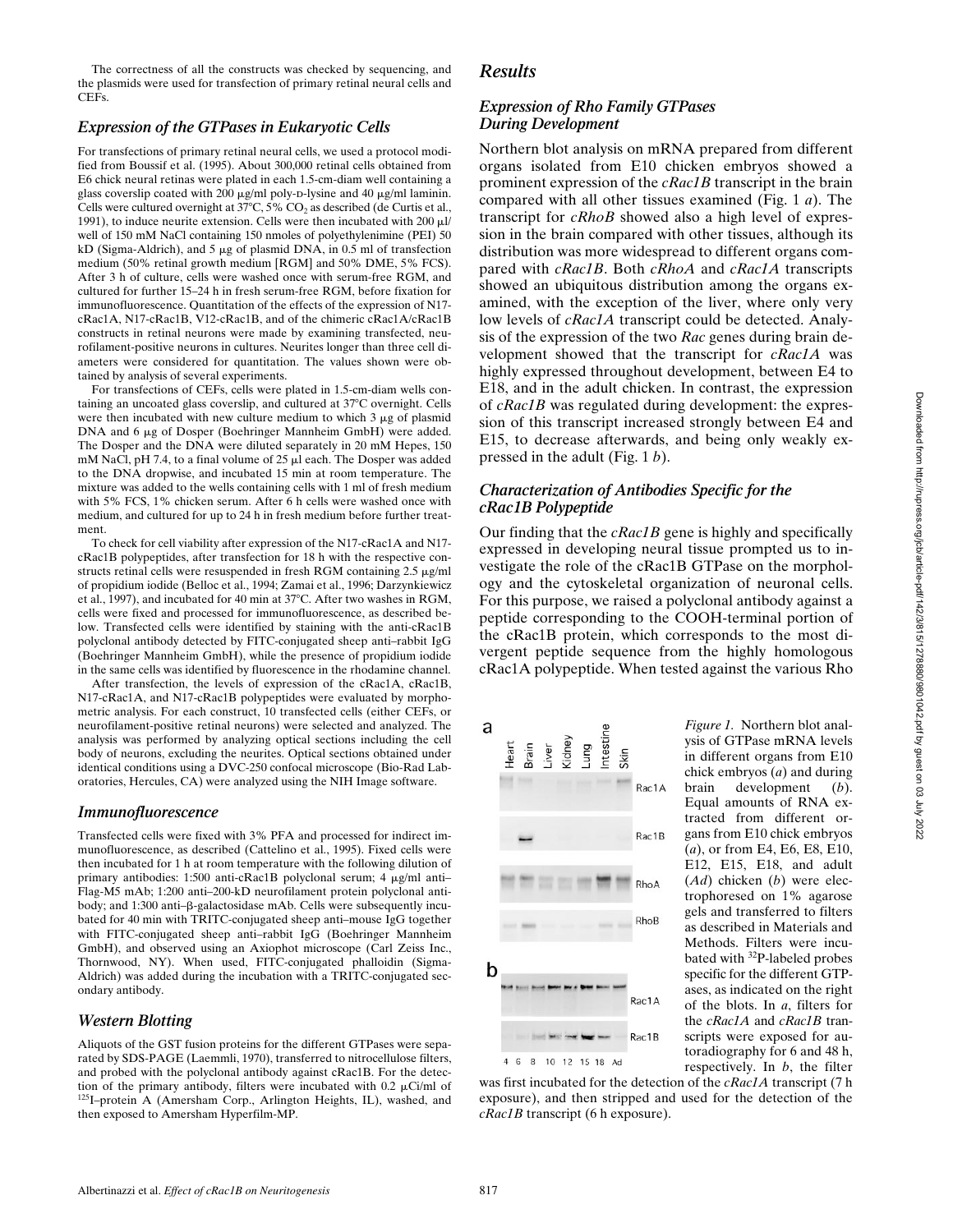Downloaded from http://rupress.org/jcb/article-pdf/142/3/815/1278880/9801042.pdf by guest on 03 July 2022 Downloaded from http://rupress.org/jcb/article-pdf/142/3/815/1278880/9801042.pdf by guest on 03 July 2022

The correctness of all the constructs was checked by sequencing, and the plasmids were used for transfection of primary retinal neural cells and CEFs.

## *Expression of the GTPases in Eukaryotic Cells*

For transfections of primary retinal neural cells, we used a protocol modified from Boussif et al. (1995). About 300,000 retinal cells obtained from E6 chick neural retinas were plated in each 1.5-cm-diam well containing a glass coverslip coated with 200  $\mu$ g/ml poly-p-lysine and 40  $\mu$ g/ml laminin. Cells were cultured overnight at  $37^{\circ}$ C,  $5\%$  CO<sub>2</sub> as described (de Curtis et al., 1991), to induce neurite extension. Cells were then incubated with  $200 \mu$ l/ well of 150 mM NaCl containing 150 nmoles of polyethylenimine (PEI) 50 kD (Sigma-Aldrich), and 5 µg of plasmid DNA, in 0.5 ml of transfection medium (50% retinal growth medium [RGM] and 50% DME, 5% FCS). After 3 h of culture, cells were washed once with serum-free RGM, and cultured for further 15–24 h in fresh serum-free RGM, before fixation for immunofluorescence. Quantitation of the effects of the expression of N17 cRac1A, N17-cRac1B, V12-cRac1B, and of the chimeric cRac1A/cRac1B constructs in retinal neurons were made by examining transfected, neurofilament-positive neurons in cultures. Neurites longer than three cell diameters were considered for quantitation. The values shown were obtained by analysis of several experiments.

For transfections of CEFs, cells were plated in 1.5-cm-diam wells containing an uncoated glass coverslip, and cultured at 37°C overnight. Cells were then incubated with new culture medium to which  $3 \mu$ g of plasmid DNA and 6  $\mu$ g of Dosper (Boehringer Mannheim GmbH) were added. The Dosper and the DNA were diluted separately in 20 mM Hepes, 150 mM NaCl, pH 7.4, to a final volume of 25  $\mu$ l each. The Dosper was added to the DNA dropwise, and incubated 15 min at room temperature. The mixture was added to the wells containing cells with 1 ml of fresh medium with 5% FCS, 1% chicken serum. After 6 h cells were washed once with medium, and cultured for up to 24 h in fresh medium before further treatment.

To check for cell viability after expression of the N17-cRac1A and N17 cRac1B polypeptides, after transfection for 18 h with the respective constructs retinal cells were resuspended in fresh RGM containing  $2.5 \mu g/ml$ of propidium iodide (Belloc et al., 1994; Zamai et al., 1996; Darzynkiewicz et al., 1997), and incubated for 40 min at 37°C. After two washes in RGM, cells were fixed and processed for immunofluorescence, as described below. Transfected cells were identified by staining with the anti-cRac1B polyclonal antibody detected by FITC-conjugated sheep anti–rabbit IgG (Boehringer Mannheim GmbH), while the presence of propidium iodide in the same cells was identified by fluorescence in the rhodamine channel.

After transfection, the levels of expression of the cRac1A, cRac1B, N17-cRac1A, and N17-cRac1B polypeptides were evaluated by morphometric analysis. For each construct, 10 transfected cells (either CEFs, or neurofilament-positive retinal neurons) were selected and analyzed. The analysis was performed by analyzing optical sections including the cell body of neurons, excluding the neurites. Optical sections obtained under identical conditions using a DVC-250 confocal microscope (Bio-Rad Laboratories, Hercules, CA) were analyzed using the NIH Image software.

#### *Immunofluorescence*

Transfected cells were fixed with 3% PFA and processed for indirect immunofluorescence, as described (Cattelino et al., 1995). Fixed cells were then incubated for 1 h at room temperature with the following dilution of primary antibodies: 1:500 anti-cRac1B polyclonal serum; 4 µg/ml anti-Flag-M5 mAb; 1:200 anti–200-kD neurofilament protein polyclonal antibody; and 1:300 anti- $\beta$ -galactosidase mAb. Cells were subsequently incubated for 40 min with TRITC-conjugated sheep anti–mouse IgG together with FITC-conjugated sheep anti–rabbit IgG (Boehringer Mannheim GmbH), and observed using an Axiophot microscope (Carl Zeiss Inc., Thornwood, NY). When used, FITC-conjugated phalloidin (Sigma-Aldrich) was added during the incubation with a TRITC-conjugated secondary antibody.

#### *Western Blotting*

Aliquots of the GST fusion proteins for the different GTPases were separated by SDS-PAGE (Laemmli, 1970), transferred to nitrocellulose filters, and probed with the polyclonal antibody against cRac1B. For the detection of the primary antibody, filters were incubated with 0.2  $\mu$ Ci/ml of 125I–protein A (Amersham Corp., Arlington Heights, IL), washed, and then exposed to Amersham Hyperfilm-MP.

## *Results*

## *Expression of Rho Family GTPases During Development*

Northern blot analysis on mRNA prepared from different organs isolated from E10 chicken embryos showed a prominent expression of the *cRac1B* transcript in the brain compared with all other tissues examined (Fig. 1 *a*). The transcript for *cRhoB* showed also a high level of expression in the brain compared with other tissues, although its distribution was more widespread to different organs compared with *cRac1B*. Both *cRhoA* and *cRac1A* transcripts showed an ubiquitous distribution among the organs examined, with the exception of the liver, where only very low levels of *cRac1A* transcript could be detected. Analysis of the expression of the two *Rac* genes during brain development showed that the transcript for *cRac1A* was highly expressed throughout development, between E4 to E18, and in the adult chicken. In contrast, the expression of *cRac1B* was regulated during development: the expression of this transcript increased strongly between E4 and E15, to decrease afterwards, and being only weakly expressed in the adult (Fig. 1 *b*).

## *Characterization of Antibodies Specific for the cRac1B Polypeptide*

Our finding that the *cRac1B* gene is highly and specifically expressed in developing neural tissue prompted us to investigate the role of the cRac1B GTPase on the morphology and the cytoskeletal organization of neuronal cells. For this purpose, we raised a polyclonal antibody against a peptide corresponding to the COOH-terminal portion of the cRac1B protein, which corresponds to the most divergent peptide sequence from the highly homologous cRac1A polypeptide. When tested against the various Rho



*Figure 1.* Northern blot analysis of GTPase mRNA levels in different organs from E10 chick embryos (*a*) and during brain development (*b*). Equal amounts of RNA extracted from different organs from E10 chick embryos (*a*), or from E4, E6, E8, E10, E12, E15, E18, and adult (*Ad*) chicken (*b*) were electrophoresed on 1% agarose gels and transferred to filters as described in Materials and Methods. Filters were incubated with 32P-labeled probes specific for the different GTPases, as indicated on the right of the blots. In *a*, filters for the *cRac1A* and *cRac1B* transcripts were exposed for autoradiography for 6 and 48 h, respectively. In *b*, the filter

was first incubated for the detection of the *cRac1A* transcript (7 h exposure), and then stripped and used for the detection of the *cRac1B* transcript (6 h exposure).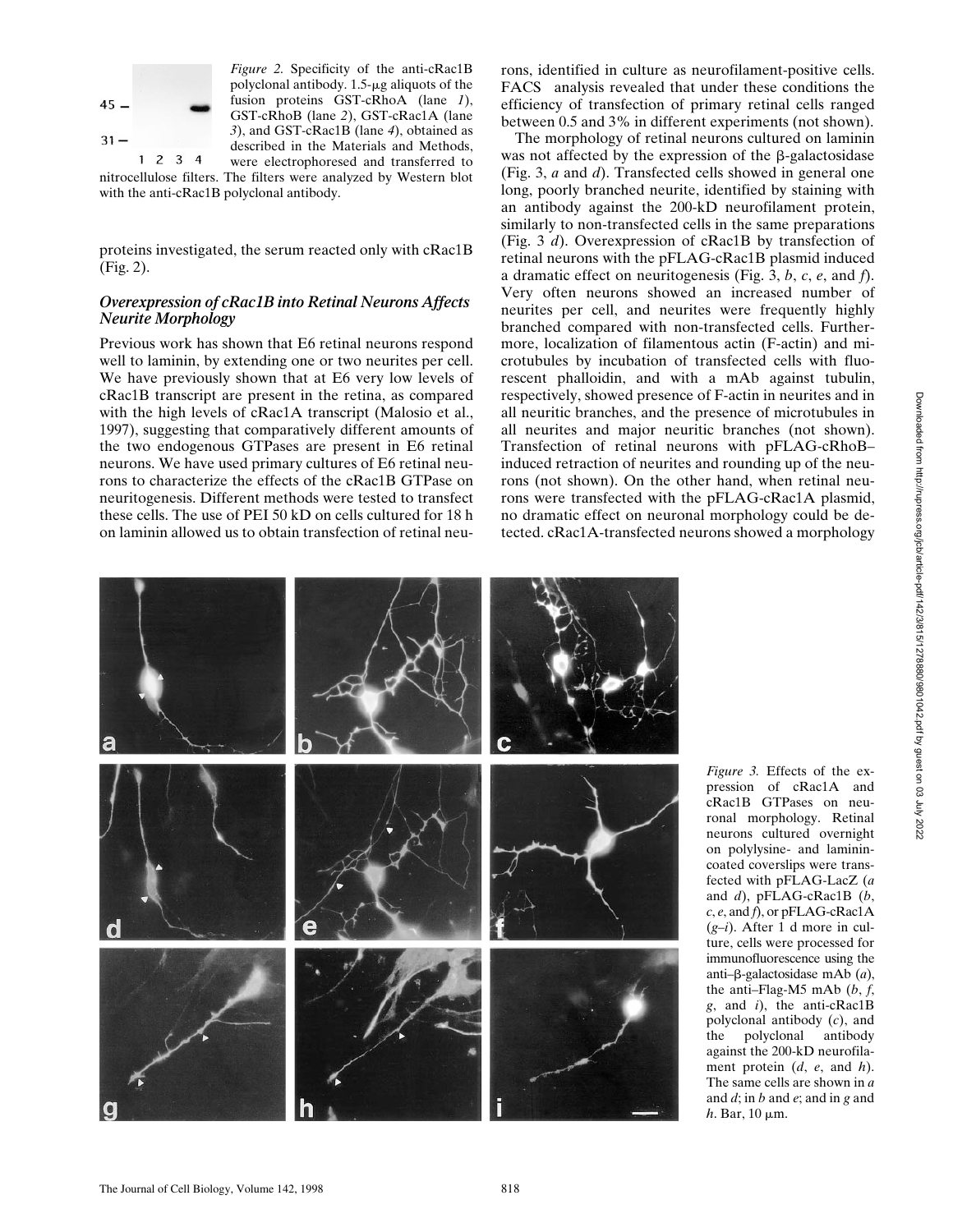

*Figure 2.* Specificity of the anti-cRac1B polyclonal antibody.  $1.5$ - $\mu$ g aliquots of the fusion proteins GST-cRhoA (lane *1*), GST-cRhoB (lane *2*), GST-cRac1A (lane *3*), and GST-cRac1B (lane *4*), obtained as described in the Materials and Methods,

were electrophoresed and transferred to nitrocellulose filters. The filters were analyzed by Western blot with the anti-cRac1B polyclonal antibody.

proteins investigated, the serum reacted only with cRac1B (Fig. 2).

## *Overexpression of cRac1B into Retinal Neurons Affects Neurite Morphology*

Previous work has shown that E6 retinal neurons respond well to laminin, by extending one or two neurites per cell. We have previously shown that at E6 very low levels of cRac1B transcript are present in the retina, as compared with the high levels of cRac1A transcript (Malosio et al., 1997), suggesting that comparatively different amounts of the two endogenous GTPases are present in E6 retinal neurons. We have used primary cultures of E6 retinal neurons to characterize the effects of the cRac1B GTPase on neuritogenesis. Different methods were tested to transfect these cells. The use of PEI 50 kD on cells cultured for 18 h on laminin allowed us to obtain transfection of retinal neurons, identified in culture as neurofilament-positive cells.  $FACS^{\circledast}$  analysis revealed that under these conditions the efficiency of transfection of primary retinal cells ranged between 0.5 and 3% in different experiments (not shown).

The morphology of retinal neurons cultured on laminin was not affected by the expression of the  $\beta$ -galactosidase (Fig. 3, *a* and *d*). Transfected cells showed in general one long, poorly branched neurite, identified by staining with an antibody against the 200-kD neurofilament protein, similarly to non-transfected cells in the same preparations (Fig. 3 *d*). Overexpression of cRac1B by transfection of retinal neurons with the pFLAG-cRac1B plasmid induced a dramatic effect on neuritogenesis (Fig. 3, *b*, *c*, *e*, and *f*). Very often neurons showed an increased number of neurites per cell, and neurites were frequently highly branched compared with non-transfected cells. Furthermore, localization of filamentous actin (F-actin) and microtubules by incubation of transfected cells with fluorescent phalloidin, and with a mAb against tubulin, respectively, showed presence of F-actin in neurites and in all neuritic branches, and the presence of microtubules in all neurites and major neuritic branches (not shown). Transfection of retinal neurons with pFLAG-cRhoB– induced retraction of neurites and rounding up of the neurons (not shown). On the other hand, when retinal neurons were transfected with the pFLAG-cRac1A plasmid, no dramatic effect on neuronal morphology could be detected. cRac1A-transfected neurons showed a morphology



*Figure 3.* Effects of the expression of cRac1A and cRac1B GTPases on neuronal morphology. Retinal neurons cultured overnight on polylysine- and laminincoated coverslips were transfected with pFLAG-LacZ (*a* and *d*), pFLAG-cRac1B (*b*, *c*, *e*, and *f*), or pFLAG-cRac1A (*g–i*). After 1 d more in culture, cells were processed for immunofluorescence using the anti–b-galactosidase mAb (*a*), the anti–Flag-M5 mAb (*b*, *f*, *g*, and *i*), the anti-cRac1B polyclonal antibody (*c*), and the polyclonal antibody against the 200-kD neurofilament protein (*d*, *e*, and *h*). The same cells are shown in *a* and *d*; in *b* and *e*; and in *g* and  $h$ . Bar, 10  $\mu$ m.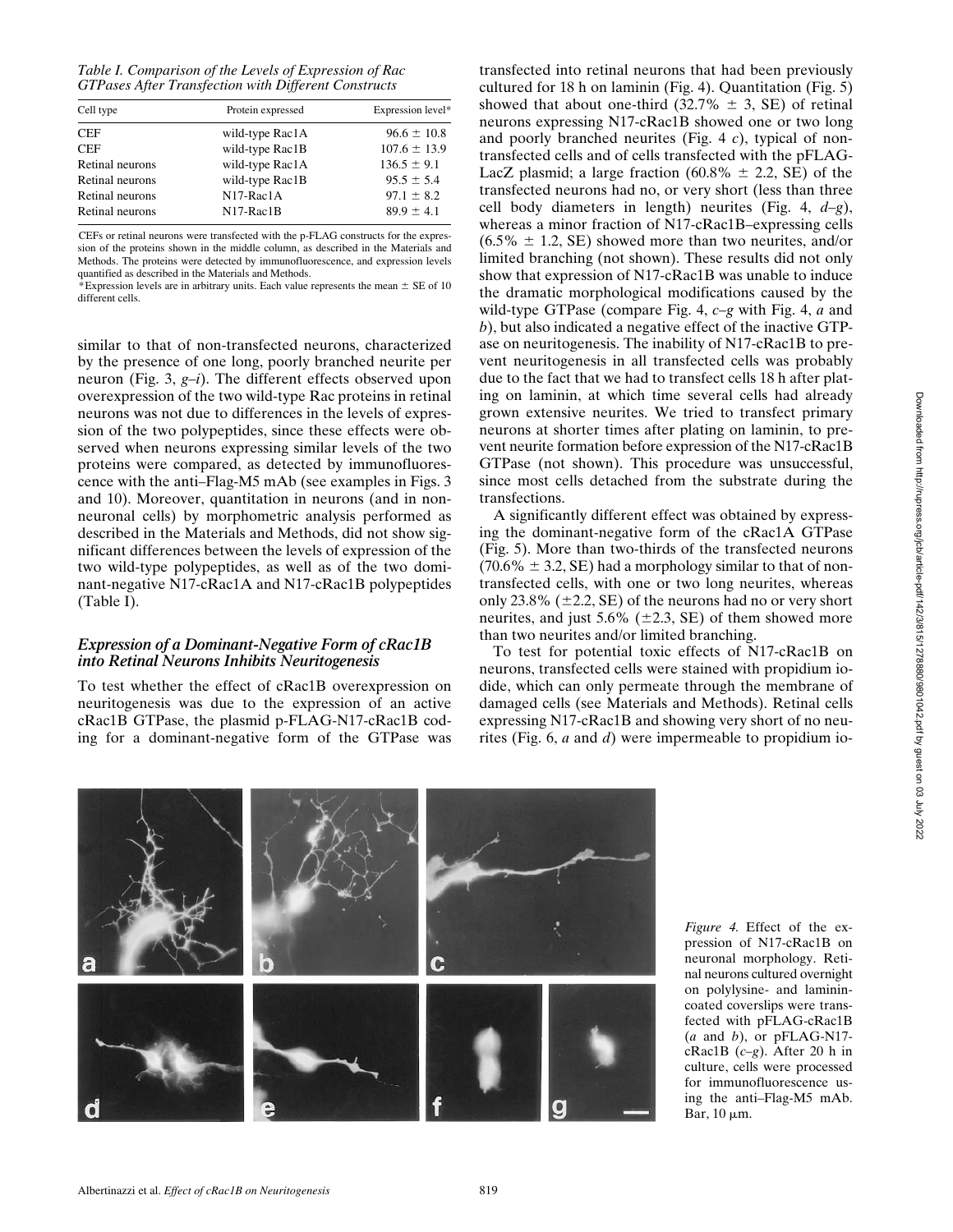*Table I. Comparison of the Levels of Expression of Rac GTPases After Transfection with Different Constructs*

| Cell type       | Protein expressed | Expression level* |
|-----------------|-------------------|-------------------|
| <b>CEF</b>      | wild-type Rac1A   | $96.6 \pm 10.8$   |
| <b>CEF</b>      | wild-type Rac1B   | $107.6 \pm 13.9$  |
| Retinal neurons | wild-type Rac1A   | $136.5 \pm 9.1$   |
| Retinal neurons | wild-type Rac1B   | $95.5 \pm 5.4$    |
| Retinal neurons | $N17-Rac1A$       | $97.1 \pm 8.2$    |
| Retinal neurons | $N17-Rac1B$       | $89.9 \pm 4.1$    |
|                 |                   |                   |

CEFs or retinal neurons were transfected with the p-FLAG constructs for the expression of the proteins shown in the middle column, as described in the Materials and Methods. The proteins were detected by immunofluorescence, and expression levels quantified as described in the Materials and Methods.

\*Expression levels are in arbitrary units. Each value represents the mean  $\pm$  SE of 10 different cells.

similar to that of non-transfected neurons, characterized by the presence of one long, poorly branched neurite per neuron (Fig. 3, *g–i*). The different effects observed upon overexpression of the two wild-type Rac proteins in retinal neurons was not due to differences in the levels of expression of the two polypeptides, since these effects were observed when neurons expressing similar levels of the two proteins were compared, as detected by immunofluorescence with the anti–Flag-M5 mAb (see examples in Figs. 3 and 10). Moreover, quantitation in neurons (and in nonneuronal cells) by morphometric analysis performed as described in the Materials and Methods, did not show significant differences between the levels of expression of the two wild-type polypeptides, as well as of the two dominant-negative N17-cRac1A and N17-cRac1B polypeptides (Table I).

#### *Expression of a Dominant-Negative Form of cRac1B into Retinal Neurons Inhibits Neuritogenesis*

To test whether the effect of cRac1B overexpression on neuritogenesis was due to the expression of an active cRac1B GTPase, the plasmid p-FLAG-N17-cRac1B coding for a dominant-negative form of the GTPase was transfected into retinal neurons that had been previously cultured for 18 h on laminin (Fig. 4). Quantitation (Fig. 5) showed that about one-third  $(32.7\% \pm 3, \text{SE})$  of retinal neurons expressing N17-cRac1B showed one or two long and poorly branched neurites (Fig. 4 *c*), typical of nontransfected cells and of cells transfected with the pFLAG-LacZ plasmid; a large fraction  $(60.8\% \pm 2.2, \text{SE})$  of the transfected neurons had no, or very short (less than three cell body diameters in length) neurites (Fig. 4, *d–g*), whereas a minor fraction of N17-cRac1B–expressing cells  $(6.5\% \pm 1.2, \text{SE})$  showed more than two neurites, and/or limited branching (not shown). These results did not only show that expression of N17-cRac1B was unable to induce the dramatic morphological modifications caused by the wild-type GTPase (compare Fig. 4, *c–g* with Fig. 4, *a* and *b*), but also indicated a negative effect of the inactive GTPase on neuritogenesis. The inability of N17-cRac1B to prevent neuritogenesis in all transfected cells was probably due to the fact that we had to transfect cells 18 h after plating on laminin, at which time several cells had already grown extensive neurites. We tried to transfect primary neurons at shorter times after plating on laminin, to prevent neurite formation before expression of the N17-cRac1B GTPase (not shown). This procedure was unsuccessful, since most cells detached from the substrate during the transfections.

A significantly different effect was obtained by expressing the dominant-negative form of the cRac1A GTPase (Fig. 5). More than two-thirds of the transfected neurons  $(70.6\% \pm 3.2, SE)$  had a morphology similar to that of nontransfected cells, with one or two long neurites, whereas only 23.8%  $(\pm 2.2, \text{SE})$  of the neurons had no or very short neurites, and just  $5.6\%$  ( $\pm 2.3$ , SE) of them showed more than two neurites and/or limited branching.

To test for potential toxic effects of N17-cRac1B on neurons, transfected cells were stained with propidium iodide, which can only permeate through the membrane of damaged cells (see Materials and Methods). Retinal cells expressing N17-cRac1B and showing very short of no neurites (Fig. 6, *a* and *d*) were impermeable to propidium io-



*Figure 4.* Effect of the expression of N17-cRac1B on neuronal morphology. Retinal neurons cultured overnight on polylysine- and laminincoated coverslips were transfected with pFLAG-cRac1B (*a* and *b*), or pFLAG-N17 cRac1B (*c–g*). After 20 h in culture, cells were processed for immunofluorescence using the anti–Flag-M5 mAb. Bar,  $10 \mu m$ .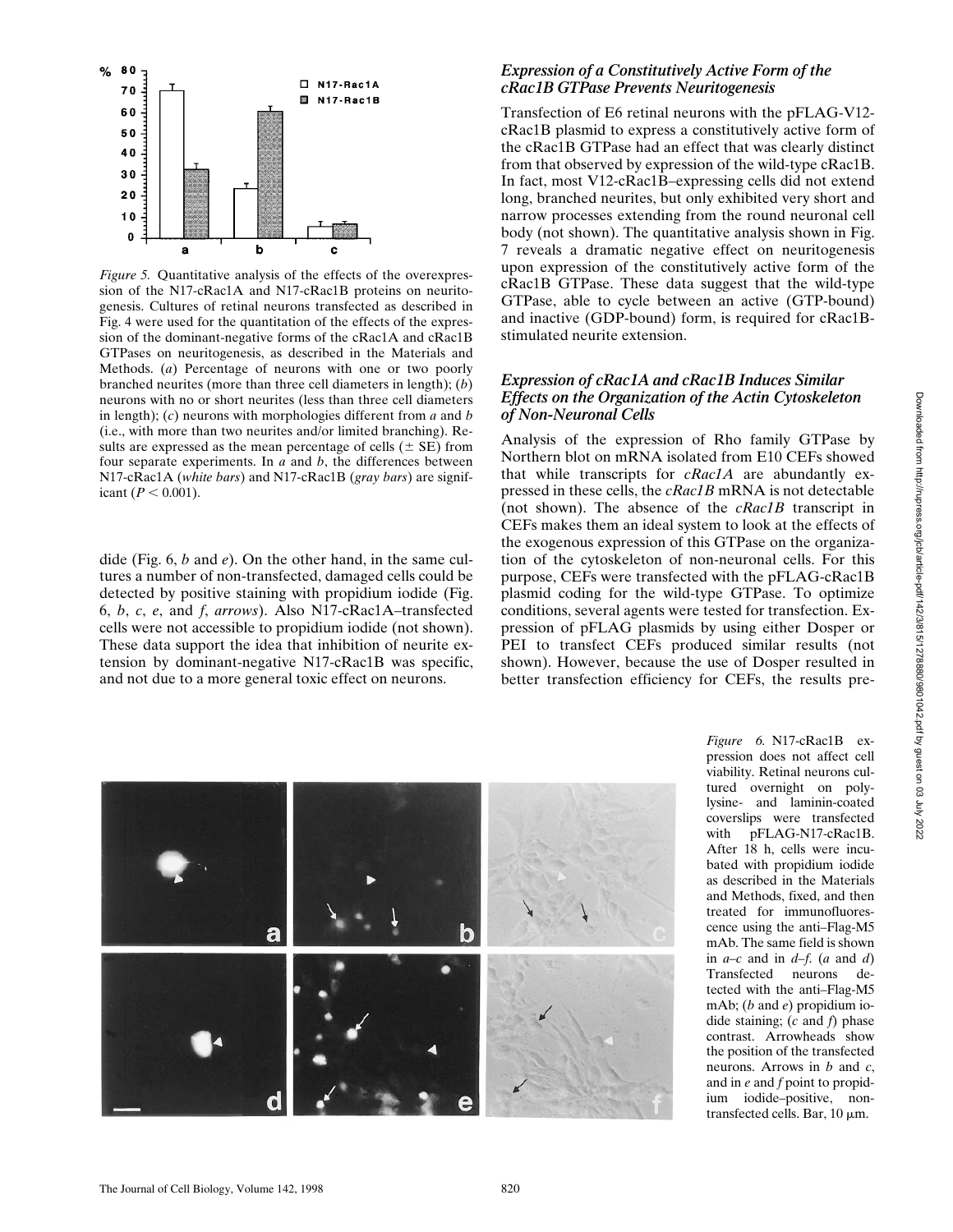

*Figure 5.* Quantitative analysis of the effects of the overexpression of the N17-cRac1A and N17-cRac1B proteins on neuritogenesis. Cultures of retinal neurons transfected as described in Fig. 4 were used for the quantitation of the effects of the expression of the dominant-negative forms of the cRac1A and cRac1B GTPases on neuritogenesis, as described in the Materials and Methods. (*a*) Percentage of neurons with one or two poorly branched neurites (more than three cell diameters in length); (*b*) neurons with no or short neurites (less than three cell diameters in length); (*c*) neurons with morphologies different from *a* and *b* (i.e., with more than two neurites and/or limited branching). Results are expressed as the mean percentage of cells  $(\pm S\mathbf{E})$  from four separate experiments. In *a* and *b*, the differences between N17-cRac1A (*white bars*) and N17-cRac1B (*gray bars*) are significant  $(P < 0.001)$ .

dide (Fig. 6, *b* and *e*). On the other hand, in the same cultures a number of non-transfected, damaged cells could be detected by positive staining with propidium iodide (Fig. 6, *b*, *c*, *e*, and *f*, *arrows*). Also N17-cRac1A–transfected cells were not accessible to propidium iodide (not shown). These data support the idea that inhibition of neurite extension by dominant-negative N17-cRac1B was specific, and not due to a more general toxic effect on neurons.

## *Expression of a Constitutively Active Form of the cRac1B GTPase Prevents Neuritogenesis*

Transfection of E6 retinal neurons with the pFLAG-V12 cRac1B plasmid to express a constitutively active form of the cRac1B GTPase had an effect that was clearly distinct from that observed by expression of the wild-type cRac1B. In fact, most V12-cRac1B–expressing cells did not extend long, branched neurites, but only exhibited very short and narrow processes extending from the round neuronal cell body (not shown). The quantitative analysis shown in Fig. 7 reveals a dramatic negative effect on neuritogenesis upon expression of the constitutively active form of the cRac1B GTPase. These data suggest that the wild-type GTPase, able to cycle between an active (GTP-bound) and inactive (GDP-bound) form, is required for cRac1Bstimulated neurite extension.

### *Expression of cRac1A and cRac1B Induces Similar Effects on the Organization of the Actin Cytoskeleton of Non-Neuronal Cells*

Analysis of the expression of Rho family GTPase by Northern blot on mRNA isolated from E10 CEFs showed that while transcripts for *cRac1A* are abundantly expressed in these cells, the *cRac1B* mRNA is not detectable (not shown). The absence of the *cRac1B* transcript in CEFs makes them an ideal system to look at the effects of the exogenous expression of this GTPase on the organization of the cytoskeleton of non-neuronal cells. For this purpose, CEFs were transfected with the pFLAG-cRac1B plasmid coding for the wild-type GTPase. To optimize conditions, several agents were tested for transfection. Expression of pFLAG plasmids by using either Dosper or PEI to transfect CEFs produced similar results (not shown). However, because the use of Dosper resulted in better transfection efficiency for CEFs, the results pre-



*Figure 6.* N17-cRac1B expression does not affect cell viability. Retinal neurons cultured overnight on polylysine- and laminin-coated coverslips were transfected with pFLAG-N17-cRac1B. After 18 h, cells were incubated with propidium iodide as described in the Materials and Methods, fixed, and then treated for immunofluorescence using the anti–Flag-M5 mAb. The same field is shown in *a–c* and in *d–f*. (*a* and *d*) Transfected neurons detected with the anti–Flag-M5 mAb; (*b* and *e*) propidium iodide staining; (*c* and *f*) phase contrast. Arrowheads show the position of the transfected neurons. Arrows in *b* and *c*, and in *e* and *f* point to propidium iodide–positive, nontransfected cells. Bar,  $10 \mu m$ .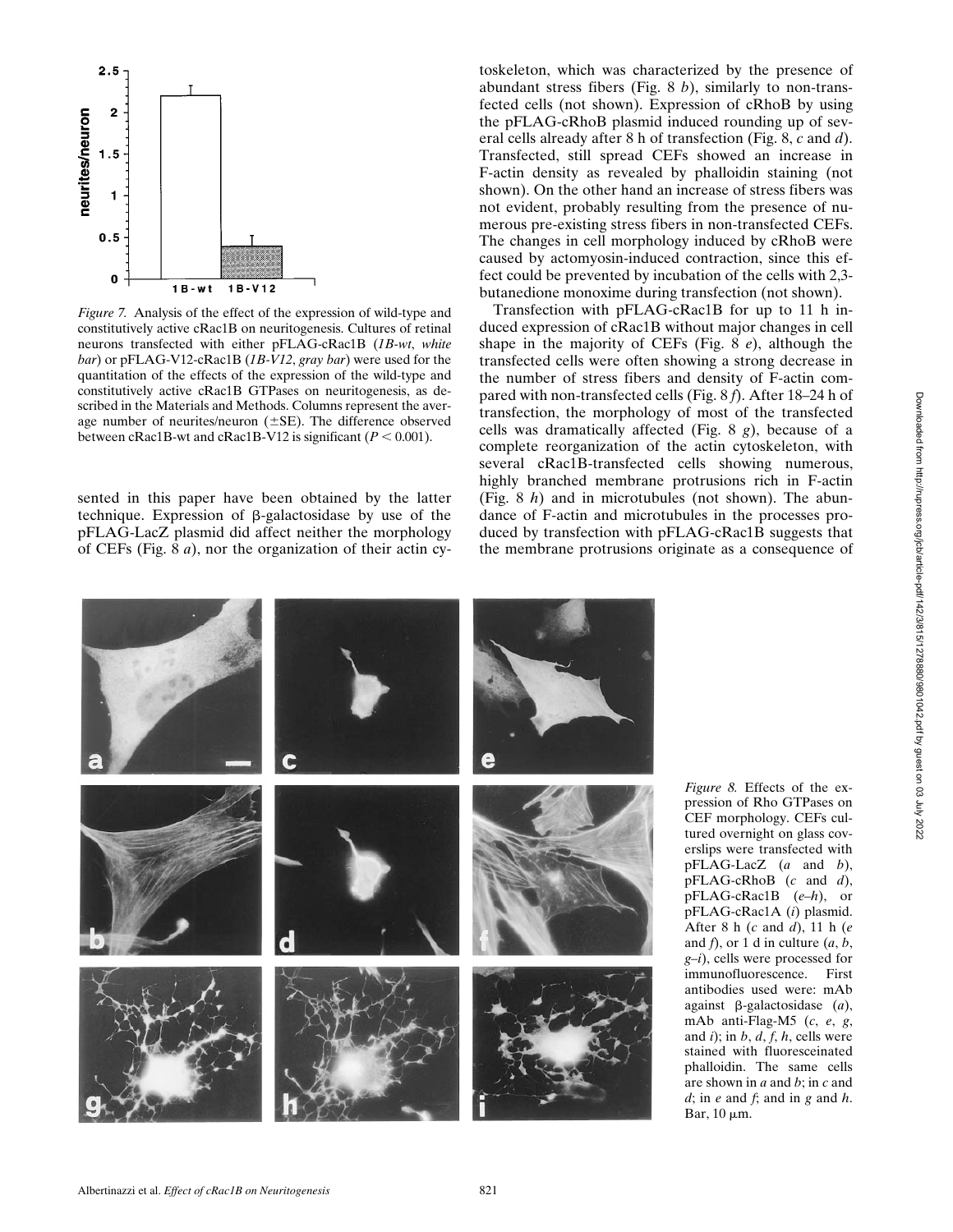

*Figure 7.* Analysis of the effect of the expression of wild-type and constitutively active cRac1B on neuritogenesis. Cultures of retinal neurons transfected with either pFLAG-cRac1B (*1B-wt*, *white bar*) or pFLAG-V12-cRac1B (*1B-V12*, *gray bar*) were used for the quantitation of the effects of the expression of the wild-type and constitutively active cRac1B GTPases on neuritogenesis, as described in the Materials and Methods. Columns represent the average number of neurites/neuron  $(\pm SE)$ . The difference observed between cRac1B-wt and cRac1B-V12 is significant  $(P < 0.001)$ .

sented in this paper have been obtained by the latter technique. Expression of  $\beta$ -galactosidase by use of the pFLAG-LacZ plasmid did affect neither the morphology of CEFs (Fig. 8 *a*), nor the organization of their actin cy-

toskeleton, which was characterized by the presence of abundant stress fibers (Fig. 8 *b*), similarly to non-transfected cells (not shown). Expression of cRhoB by using the pFLAG-cRhoB plasmid induced rounding up of several cells already after 8 h of transfection (Fig. 8, *c* and *d*). Transfected, still spread CEFs showed an increase in F-actin density as revealed by phalloidin staining (not shown). On the other hand an increase of stress fibers was not evident, probably resulting from the presence of numerous pre-existing stress fibers in non-transfected CEFs. The changes in cell morphology induced by cRhoB were caused by actomyosin-induced contraction, since this effect could be prevented by incubation of the cells with 2,3 butanedione monoxime during transfection (not shown).

Transfection with pFLAG-cRac1B for up to 11 h induced expression of cRac1B without major changes in cell shape in the majority of CEFs (Fig. 8 *e*), although the transfected cells were often showing a strong decrease in the number of stress fibers and density of F-actin compared with non-transfected cells (Fig. 8 *f*). After 18–24 h of transfection, the morphology of most of the transfected cells was dramatically affected (Fig. 8 *g*), because of a complete reorganization of the actin cytoskeleton, with several cRac1B-transfected cells showing numerous, highly branched membrane protrusions rich in F-actin (Fig. 8 *h*) and in microtubules (not shown). The abundance of F-actin and microtubules in the processes produced by transfection with pFLAG-cRac1B suggests that the membrane protrusions originate as a consequence of



*Figure 8.* Effects of the expression of Rho GTPases on CEF morphology. CEFs cultured overnight on glass coverslips were transfected with pFLAG-LacZ (*a* and *b*), pFLAG-cRhoB (*c* and *d*), pFLAG-cRac1B (*e–h*), or pFLAG-cRac1A (*i*) plasmid. After 8 h (*c* and *d*), 11 h (*e* and *f*), or 1 d in culture (*a*, *b*, *g–i*), cells were processed for immunofluorescence. First antibodies used were: mAb against b-galactosidase (*a*), mAb anti-Flag-M5 (*c*, *e*, *g*, and *i*); in *b*, *d*, *f*, *h*, cells were stained with fluoresceinated phalloidin. The same cells are shown in *a* and *b*; in *c* and *d*; in *e* and *f*; and in *g* and *h*. Bar,  $10 \mu m$ .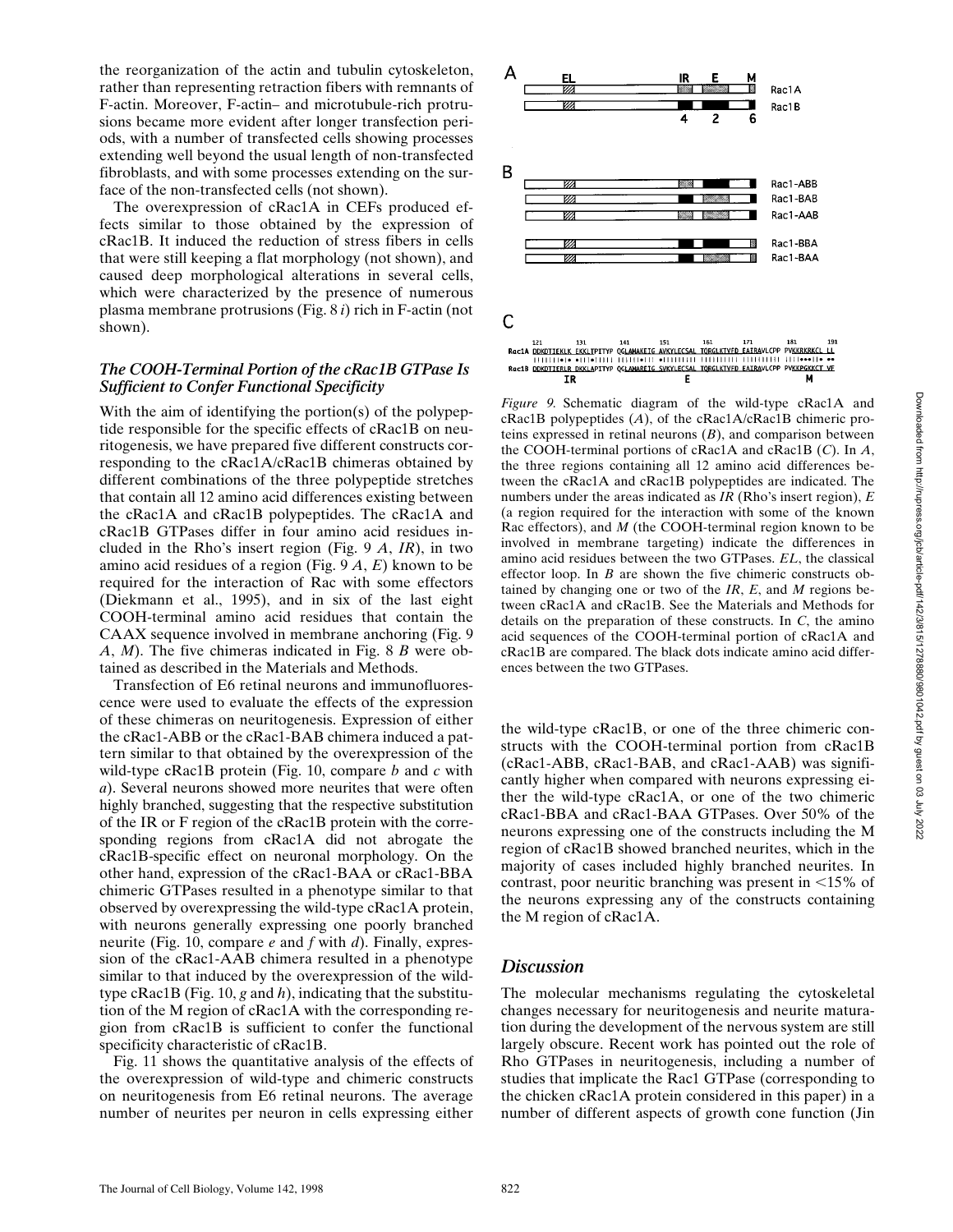the reorganization of the actin and tubulin cytoskeleton, rather than representing retraction fibers with remnants of F-actin. Moreover, F-actin– and microtubule-rich protrusions became more evident after longer transfection periods, with a number of transfected cells showing processes extending well beyond the usual length of non-transfected fibroblasts, and with some processes extending on the surface of the non-transfected cells (not shown).

The overexpression of cRac1A in CEFs produced effects similar to those obtained by the expression of cRac1B. It induced the reduction of stress fibers in cells that were still keeping a flat morphology (not shown), and caused deep morphological alterations in several cells, which were characterized by the presence of numerous plasma membrane protrusions (Fig. 8 *i*) rich in F-actin (not shown).

## *The COOH-Terminal Portion of the cRac1B GTPase Is Sufficient to Confer Functional Specificity*

With the aim of identifying the portion(s) of the polypeptide responsible for the specific effects of cRac1B on neuritogenesis, we have prepared five different constructs corresponding to the cRac1A/cRac1B chimeras obtained by different combinations of the three polypeptide stretches that contain all 12 amino acid differences existing between the cRac1A and cRac1B polypeptides. The cRac1A and cRac1B GTPases differ in four amino acid residues included in the Rho's insert region (Fig. 9 *A*, *IR*), in two amino acid residues of a region (Fig. 9 *A*, *E*) known to be required for the interaction of Rac with some effectors (Diekmann et al., 1995), and in six of the last eight COOH-terminal amino acid residues that contain the CAAX sequence involved in membrane anchoring (Fig. 9 *A*, *M*). The five chimeras indicated in Fig. 8 *B* were obtained as described in the Materials and Methods.

Transfection of E6 retinal neurons and immunofluorescence were used to evaluate the effects of the expression of these chimeras on neuritogenesis. Expression of either the cRac1-ABB or the cRac1-BAB chimera induced a pattern similar to that obtained by the overexpression of the wild-type cRac1B protein (Fig. 10, compare *b* and *c* with *a*). Several neurons showed more neurites that were often highly branched, suggesting that the respective substitution of the IR or F region of the cRac1B protein with the corresponding regions from cRac1A did not abrogate the cRac1B-specific effect on neuronal morphology. On the other hand, expression of the cRac1-BAA or cRac1-BBA chimeric GTPases resulted in a phenotype similar to that observed by overexpressing the wild-type cRac1A protein, with neurons generally expressing one poorly branched neurite (Fig. 10, compare *e* and *f* with *d*). Finally, expression of the cRac1-AAB chimera resulted in a phenotype similar to that induced by the overexpression of the wildtype cRac1B (Fig. 10, *g* and *h*), indicating that the substitution of the M region of cRac1A with the corresponding region from cRac1B is sufficient to confer the functional specificity characteristic of cRac1B.

Fig. 11 shows the quantitative analysis of the effects of the overexpression of wild-type and chimeric constructs on neuritogenesis from E6 retinal neurons. The average number of neurites per neuron in cells expressing either



*Figure 9.* Schematic diagram of the wild-type cRac1A and cRac1B polypeptides (*A*), of the cRac1A/cRac1B chimeric proteins expressed in retinal neurons (*B*), and comparison between the COOH-terminal portions of cRac1A and cRac1B (*C*). In *A*, the three regions containing all 12 amino acid differences between the cRac1A and cRac1B polypeptides are indicated. The numbers under the areas indicated as *IR* (Rho's insert region), *E* (a region required for the interaction with some of the known Rac effectors), and *M* (the COOH-terminal region known to be involved in membrane targeting) indicate the differences in amino acid residues between the two GTPases. *EL*, the classical effector loop. In *B* are shown the five chimeric constructs obtained by changing one or two of the *IR*, *E*, and *M* regions between cRac1A and cRac1B. See the Materials and Methods for details on the preparation of these constructs. In *C*, the amino acid sequences of the COOH-terminal portion of cRac1A and cRac1B are compared. The black dots indicate amino acid differences between the two GTPases.

the wild-type cRac1B, or one of the three chimeric constructs with the COOH-terminal portion from cRac1B (cRac1-ABB, cRac1-BAB, and cRac1-AAB) was significantly higher when compared with neurons expressing either the wild-type cRac1A, or one of the two chimeric cRac1-BBA and cRac1-BAA GTPases. Over 50% of the neurons expressing one of the constructs including the M region of cRac1B showed branched neurites, which in the majority of cases included highly branched neurites. In contrast, poor neuritic branching was present in  $\leq 15\%$  of the neurons expressing any of the constructs containing the M region of cRac1A.

## *Discussion*

The molecular mechanisms regulating the cytoskeletal changes necessary for neuritogenesis and neurite maturation during the development of the nervous system are still largely obscure. Recent work has pointed out the role of Rho GTPases in neuritogenesis, including a number of studies that implicate the Rac1 GTPase (corresponding to the chicken cRac1A protein considered in this paper) in a number of different aspects of growth cone function (Jin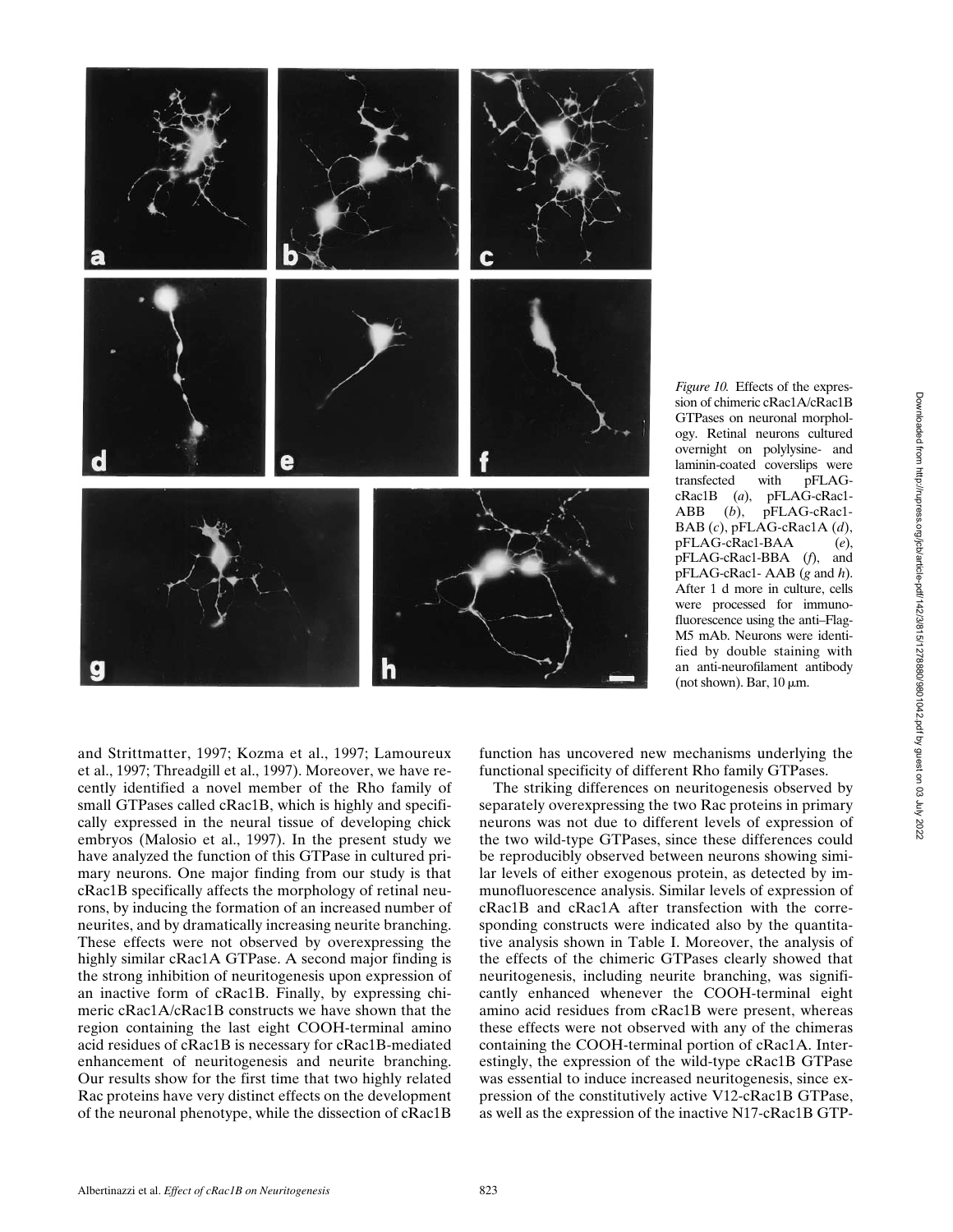

and Strittmatter, 1997; Kozma et al., 1997; Lamoureux et al., 1997; Threadgill et al., 1997). Moreover, we have recently identified a novel member of the Rho family of small GTPases called cRac1B, which is highly and specifically expressed in the neural tissue of developing chick embryos (Malosio et al., 1997). In the present study we have analyzed the function of this GTPase in cultured primary neurons. One major finding from our study is that cRac1B specifically affects the morphology of retinal neurons, by inducing the formation of an increased number of neurites, and by dramatically increasing neurite branching. These effects were not observed by overexpressing the highly similar cRac1A GTPase. A second major finding is the strong inhibition of neuritogenesis upon expression of an inactive form of cRac1B. Finally, by expressing chimeric cRac1A/cRac1B constructs we have shown that the region containing the last eight COOH-terminal amino acid residues of cRac1B is necessary for cRac1B-mediated enhancement of neuritogenesis and neurite branching. Our results show for the first time that two highly related Rac proteins have very distinct effects on the development of the neuronal phenotype, while the dissection of cRac1B function has uncovered new mechanisms underlying the functional specificity of different Rho family GTPases.

The striking differences on neuritogenesis observed by separately overexpressing the two Rac proteins in primary neurons was not due to different levels of expression of the two wild-type GTPases, since these differences could be reproducibly observed between neurons showing similar levels of either exogenous protein, as detected by immunofluorescence analysis. Similar levels of expression of cRac1B and cRac1A after transfection with the corresponding constructs were indicated also by the quantitative analysis shown in Table I. Moreover, the analysis of the effects of the chimeric GTPases clearly showed that neuritogenesis, including neurite branching, was significantly enhanced whenever the COOH-terminal eight amino acid residues from cRac1B were present, whereas these effects were not observed with any of the chimeras containing the COOH-terminal portion of cRac1A. Interestingly, the expression of the wild-type cRac1B GTPase was essential to induce increased neuritogenesis, since expression of the constitutively active V12-cRac1B GTPase, as well as the expression of the inactive N17-cRac1B GTP-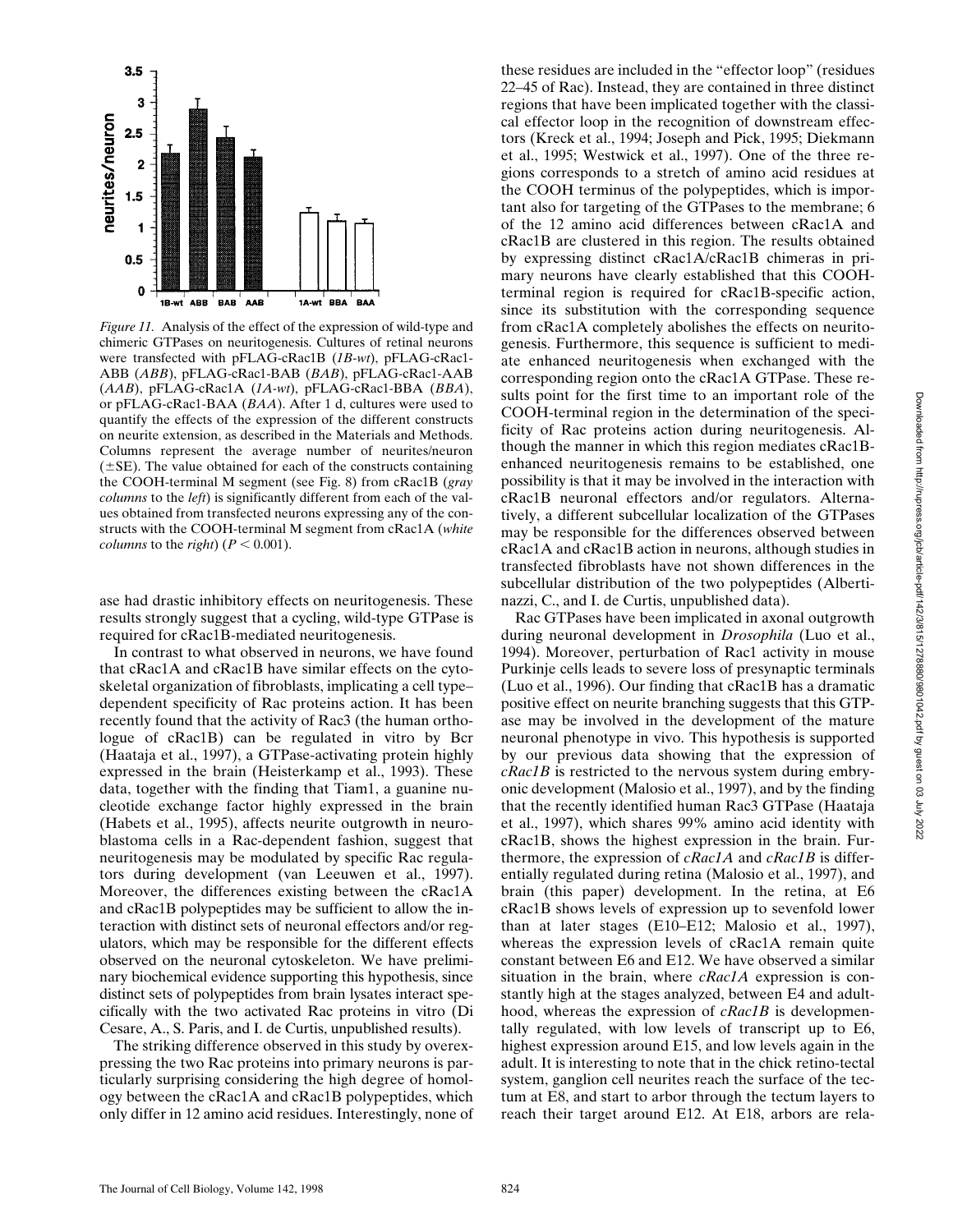

neurites/neuron

chimeric GTPases on neuritogenesis. Cultures of retinal neurons were transfected with pFLAG-cRac1B (*1B-wt*), pFLAG-cRac1- ABB (*ABB*), pFLAG-cRac1-BAB (*BAB*), pFLAG-cRac1-AAB (*AAB*), pFLAG-cRac1A (*1A-wt*), pFLAG-cRac1-BBA (*BBA*), or pFLAG-cRac1-BAA (*BAA*). After 1 d, cultures were used to quantify the effects of the expression of the different constructs on neurite extension, as described in the Materials and Methods. Columns represent the average number of neurites/neuron  $(\pm SE)$ . The value obtained for each of the constructs containing the COOH-terminal M segment (see Fig. 8) from cRac1B (*gray columns* to the *left*) is significantly different from each of the values obtained from transfected neurons expressing any of the constructs with the COOH-terminal M segment from cRac1A (*white columns* to the *right*) ( $P < 0.001$ ).

ase had drastic inhibitory effects on neuritogenesis. These results strongly suggest that a cycling, wild-type GTPase is required for cRac1B-mediated neuritogenesis.

In contrast to what observed in neurons, we have found that cRac1A and cRac1B have similar effects on the cytoskeletal organization of fibroblasts, implicating a cell type– dependent specificity of Rac proteins action. It has been recently found that the activity of Rac3 (the human orthologue of cRac1B) can be regulated in vitro by Bcr (Haataja et al., 1997), a GTPase-activating protein highly expressed in the brain (Heisterkamp et al., 1993). These data, together with the finding that Tiam1, a guanine nucleotide exchange factor highly expressed in the brain (Habets et al., 1995), affects neurite outgrowth in neuroblastoma cells in a Rac-dependent fashion, suggest that neuritogenesis may be modulated by specific Rac regulators during development (van Leeuwen et al., 1997). Moreover, the differences existing between the cRac1A and cRac1B polypeptides may be sufficient to allow the interaction with distinct sets of neuronal effectors and/or regulators, which may be responsible for the different effects observed on the neuronal cytoskeleton. We have preliminary biochemical evidence supporting this hypothesis, since distinct sets of polypeptides from brain lysates interact specifically with the two activated Rac proteins in vitro (Di Cesare, A., S. Paris, and I. de Curtis, unpublished results).

The striking difference observed in this study by overexpressing the two Rac proteins into primary neurons is particularly surprising considering the high degree of homology between the cRac1A and cRac1B polypeptides, which only differ in 12 amino acid residues. Interestingly, none of

these residues are included in the "effector loop" (residues 22–45 of Rac). Instead, they are contained in three distinct regions that have been implicated together with the classical effector loop in the recognition of downstream effectors (Kreck et al., 1994; Joseph and Pick, 1995; Diekmann et al., 1995; Westwick et al., 1997). One of the three regions corresponds to a stretch of amino acid residues at the COOH terminus of the polypeptides, which is important also for targeting of the GTPases to the membrane; 6 of the 12 amino acid differences between cRac1A and cRac1B are clustered in this region. The results obtained by expressing distinct cRac1A/cRac1B chimeras in primary neurons have clearly established that this COOHterminal region is required for cRac1B-specific action, since its substitution with the corresponding sequence from cRac1A completely abolishes the effects on neuritogenesis. Furthermore, this sequence is sufficient to mediate enhanced neuritogenesis when exchanged with the corresponding region onto the cRac1A GTPase. These results point for the first time to an important role of the COOH-terminal region in the determination of the specificity of Rac proteins action during neuritogenesis. Although the manner in which this region mediates cRac1Benhanced neuritogenesis remains to be established, one possibility is that it may be involved in the interaction with cRac1B neuronal effectors and/or regulators. Alternatively, a different subcellular localization of the GTPases may be responsible for the differences observed between cRac1A and cRac1B action in neurons, although studies in transfected fibroblasts have not shown differences in the subcellular distribution of the two polypeptides (Albertinazzi, C., and I. de Curtis, unpublished data).

Rac GTPases have been implicated in axonal outgrowth during neuronal development in *Drosophila* (Luo et al., 1994). Moreover, perturbation of Rac1 activity in mouse Purkinje cells leads to severe loss of presynaptic terminals (Luo et al., 1996). Our finding that cRac1B has a dramatic positive effect on neurite branching suggests that this GTPase may be involved in the development of the mature neuronal phenotype in vivo. This hypothesis is supported by our previous data showing that the expression of *cRac1B* is restricted to the nervous system during embryonic development (Malosio et al., 1997), and by the finding that the recently identified human Rac3 GTPase (Haataja et al., 1997), which shares 99% amino acid identity with cRac1B, shows the highest expression in the brain. Furthermore, the expression of *cRac1A* and *cRac1B* is differentially regulated during retina (Malosio et al., 1997), and brain (this paper) development. In the retina, at E6 cRac1B shows levels of expression up to sevenfold lower than at later stages (E10–E12; Malosio et al., 1997), whereas the expression levels of cRac1A remain quite constant between E6 and E12. We have observed a similar situation in the brain, where *cRac1A* expression is constantly high at the stages analyzed, between E4 and adulthood, whereas the expression of *cRac1B* is developmentally regulated, with low levels of transcript up to E6, highest expression around E15, and low levels again in the adult. It is interesting to note that in the chick retino-tectal system, ganglion cell neurites reach the surface of the tectum at E8, and start to arbor through the tectum layers to reach their target around E12. At E18, arbors are rela-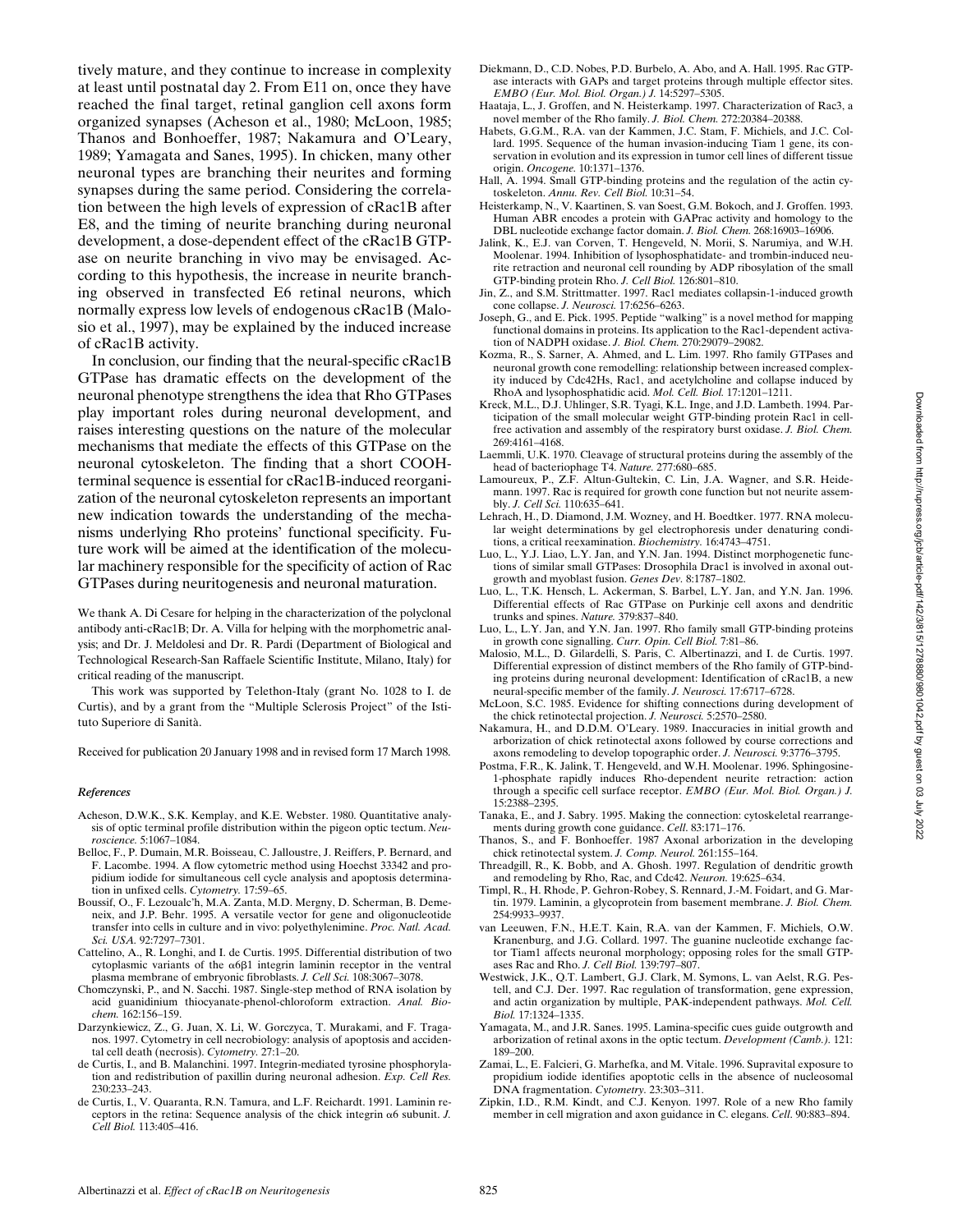tively mature, and they continue to increase in complexity at least until postnatal day 2. From E11 on, once they have reached the final target, retinal ganglion cell axons form organized synapses (Acheson et al., 1980; McLoon, 1985; Thanos and Bonhoeffer, 1987; Nakamura and O'Leary, 1989; Yamagata and Sanes, 1995). In chicken, many other neuronal types are branching their neurites and forming synapses during the same period. Considering the correlation between the high levels of expression of cRac1B after E8, and the timing of neurite branching during neuronal development, a dose-dependent effect of the cRac1B GTPase on neurite branching in vivo may be envisaged. According to this hypothesis, the increase in neurite branching observed in transfected E6 retinal neurons, which normally express low levels of endogenous cRac1B (Malosio et al., 1997), may be explained by the induced increase of cRac1B activity. In conclusion, our finding that the neural-specific cRac1B

GTPase has dramatic effects on the development of the neuronal phenotype strengthens the idea that Rho GTPases play important roles during neuronal development, and raises interesting questions on the nature of the molecular mechanisms that mediate the effects of this GTPase on the neuronal cytoskeleton. The finding that a short COOHterminal sequence is essential for cRac1B-induced reorganization of the neuronal cytoskeleton represents an important new indication towards the understanding of the mechanisms underlying Rho proteins' functional specificity. Future work will be aimed at the identification of the molecular machinery responsible for the specificity of action of Rac GTPases during neuritogenesis and neuronal maturation.

We thank A. Di Cesare for helping in the characterization of the polyclonal antibody anti-cRac1B; Dr. A. Villa for helping with the morphometric analysis; and Dr. J. Meldolesi and Dr. R. Pardi (Department of Biological and Technological Research-San Raffaele Scientific Institute, Milano, Italy) for critical reading of the manuscript.

This work was supported by Telethon-Italy (grant No. 1028 to I. de Curtis), and by a grant from the "Multiple Sclerosis Project" of the Istituto Superiore di Sanità.

Received for publication 20 January 1998 and in revised form 17 March 1998.

#### *References*

- Acheson, D.W.K., S.K. Kemplay, and K.E. Webster. 1980. Quantitative analysis of optic terminal profile distribution within the pigeon optic tectum. *Neuroscience.* 5:1067–1084.
- Belloc, F., P. Dumain, M.R. Boisseau, C. Jalloustre, J. Reiffers, P. Bernard, and F. Lacombe. 1994. A flow cytometric method using Hoechst 33342 and propidium iodide for simultaneous cell cycle analysis and apoptosis determination in unfixed cells. *Cytometry.* 17:59–65.
- Boussif, O., F. Lezoualc'h, M.A. Zanta, M.D. Mergny, D. Scherman, B. Demeneix, and J.P. Behr. 1995. A versatile vector for gene and oligonucleotide transfer into cells in culture and in vivo: polyethylenimine. *Proc. Natl. Acad. Sci. USA.* 92:7297–7301.
- Cattelino, A., R. Longhi, and I. de Curtis. 1995. Differential distribution of two cytoplasmic variants of the  $\alpha$ 681 integrin laminin receptor in the ventral plasma membrane of embryonic fibroblasts. *J. Cell Sci.* 108:3067–3078.
- Chomczynski, P., and N. Sacchi. 1987. Single-step method of RNA isolation by acid guanidinium thiocyanate-phenol-chloroform extraction. *Anal. Biochem.* 162:156–159.
- Darzynkiewicz, Z., G. Juan, X. Li, W. Gorczyca, T. Murakami, and F. Traganos. 1997. Cytometry in cell necrobiology: analysis of apoptosis and accidental cell death (necrosis). *Cytometry.* 27:1–20.
- de Curtis, I., and B. Malanchini. 1997. Integrin-mediated tyrosine phosphorylation and redistribution of paxillin during neuronal adhesion. *Exp. Cell Res.* 230:233–243.
- de Curtis, I., V. Quaranta, R.N. Tamura, and L.F. Reichardt. 1991. Laminin receptors in the retina: Sequence analysis of the chick integrin  $\alpha$ 6 subunit. *J*. *Cell Biol.* 113:405–416.
- Diekmann, D., C.D. Nobes, P.D. Burbelo, A. Abo, and A. Hall. 1995. Rac GTPase interacts with GAPs and target proteins through multiple effector sites. *EMBO (Eur. Mol. Biol. Organ.) J.* 14:5297–5305.
- Haataja, L., J. Groffen, and N. Heisterkamp. 1997. Characterization of Rac3, a novel member of the Rho family. *J. Biol. Chem.* 272:20384–20388.
- Habets, G.G.M., R.A. van der Kammen, J.C. Stam, F. Michiels, and J.C. Collard. 1995. Sequence of the human invasion-inducing Tiam 1 gene, its conservation in evolution and its expression in tumor cell lines of different tissue origin. *Oncogene.* 10:1371–1376.
- Hall, A. 1994. Small GTP-binding proteins and the regulation of the actin cytoskeleton. *Annu. Rev. Cell Biol.* 10:31–54.
- Heisterkamp, N., V. Kaartinen, S. van Soest, G.M. Bokoch, and J. Groffen. 1993. Human ABR encodes a protein with GAPrac activity and homology to the DBL nucleotide exchange factor domain. *J. Biol. Chem.* 268:16903–16906.
- Jalink, K., E.J. van Corven, T. Hengeveld, N. Morii, S. Narumiya, and W.H. Moolenar. 1994. Inhibition of lysophosphatidate- and trombin-induced neurite retraction and neuronal cell rounding by ADP ribosylation of the small GTP-binding protein Rho. *J. Cell Biol.* 126:801–810.
- Jin, Z., and S.M. Strittmatter. 1997. Rac1 mediates collapsin-1-induced growth cone collapse. *J. Neurosci.* 17:6256–6263.
- Joseph, G., and E. Pick. 1995. Peptide "walking" is a novel method for mapping functional domains in proteins. Its application to the Rac1-dependent activation of NADPH oxidase. *J. Biol. Chem.* 270:29079–29082.
- Kozma, R., S. Sarner, A. Ahmed, and L. Lim. 1997. Rho family GTPases and neuronal growth cone remodelling: relationship between increased complexity induced by Cdc42Hs, Rac1, and acetylcholine and collapse induced by RhoA and lysophosphatidic acid. *Mol. Cell. Biol.* 17:1201–1211.
- Kreck, M.L., D.J. Uhlinger, S.R. Tyagi, K.L. Inge, and J.D. Lambeth. 1994. Participation of the small molecular weight GTP-binding protein Rac1 in cellfree activation and assembly of the respiratory burst oxidase. *J. Biol. Chem.* 269:4161–4168.
- Laemmli, U.K. 1970. Cleavage of structural proteins during the assembly of the head of bacteriophage T4. *Nature.* 277:680–685.
- Lamoureux, P., Z.F. Altun-Gultekin, C. Lin, J.A. Wagner, and S.R. Heidemann. 1997. Rac is required for growth cone function but not neurite assembly. *J. Cell Sci.* 110:635–641.
- Lehrach, H., D. Diamond, J.M. Wozney, and H. Boedtker. 1977. RNA molecular weight determinations by gel electrophoresis under denaturing conditions, a critical reexamination. *Biochemistry.* 16:4743–4751.
- Luo, L., Y.J. Liao, L.Y. Jan, and Y.N. Jan. 1994. Distinct morphogenetic functions of similar small GTPases: Drosophila Drac1 is involved in axonal outgrowth and myoblast fusion. *Genes Dev.* 8:1787–1802.
- Luo, L., T.K. Hensch, L. Ackerman, S. Barbel, L.Y. Jan, and Y.N. Jan. 1996. Differential effects of Rac GTPase on Purkinje cell axons and dendritic trunks and spines. *Nature.* 379:837–840.
- Luo, L., L.Y. Jan, and Y.N. Jan. 1997. Rho family small GTP-binding proteins in growth cone signalling. *Curr. Opin. Cell Biol.* 7:81–86.
- Malosio, M.L., D. Gilardelli, S. Paris, C. Albertinazzi, and I. de Curtis. 1997. Differential expression of distinct members of the Rho family of GTP-binding proteins during neuronal development: Identification of cRac1B, a new neural-specific member of the family. *J. Neurosci.* 17:6717–6728.
- McLoon, S.C. 1985. Evidence for shifting connections during development of the chick retinotectal projection. *J. Neurosci.* 5:2570–2580.
- Nakamura, H., and D.D.M. O'Leary. 1989. Inaccuracies in initial growth and arborization of chick retinotectal axons followed by course corrections and axons remodeling to develop topographic order. *J. Neurosci.* 9:3776–3795.
- Postma, F.R., K. Jalink, T. Hengeveld, and W.H. Moolenar. 1996. Sphingosine-1-phosphate rapidly induces Rho-dependent neurite retraction: action through a specific cell surface receptor. *EMBO (Eur. Mol. Biol. Organ.) J.* 15:2388–2395.
- Tanaka, E., and J. Sabry. 1995. Making the connection: cytoskeletal rearrangements during growth cone guidance. *Cell*. 83:171–176.
- Thanos, S., and F. Bonhoeffer. 1987 Axonal arborization in the developing chick retinotectal system. *J. Comp. Neurol.* 261:155–164.
- Threadgill, R., K. Bobb, and A. Ghosh. 1997. Regulation of dendritic growth and remodeling by Rho, Rac, and Cdc42. *Neuron.* 19:625–634.
- Timpl, R., H. Rhode, P. Gehron-Robey, S. Rennard, J.-M. Foidart, and G. Martin. 1979. Laminin, a glycoprotein from basement membrane. *J. Biol. Chem.* 254:9933–9937.
- van Leeuwen, F.N., H.E.T. Kain, R.A. van der Kammen, F. Michiels, O.W. Kranenburg, and J.G. Collard. 1997. The guanine nucleotide exchange factor Tiam1 affects neuronal morphology; opposing roles for the small GTPases Rac and Rho. *J. Cell Biol.* 139:797–807.
- Westwick, J.K., Q.T. Lambert, G.J. Clark, M. Symons, L. van Aelst, R.G. Pestell, and C.J. Der. 1997. Rac regulation of transformation, gene expression, and actin organization by multiple, PAK-independent pathways. *Mol. Cell. Biol.* 17:1324–1335.
- Yamagata, M., and J.R. Sanes. 1995. Lamina-specific cues guide outgrowth and arborization of retinal axons in the optic tectum. *Development (Camb.).* 121: 189–200.
- Zamai, L., E. Falcieri, G. Marhefka, and M. Vitale. 1996. Supravital exposure to propidium iodide identifies apoptotic cells in the absence of nucleosomal DNA fragmentation. *Cytometry.* 23:303–311.
- Zipkin, I.D., R.M. Kindt, and C.J. Kenyon. 1997. Role of a new Rho family member in cell migration and axon guidance in C. elegans. *Cell*. 90:883–894.